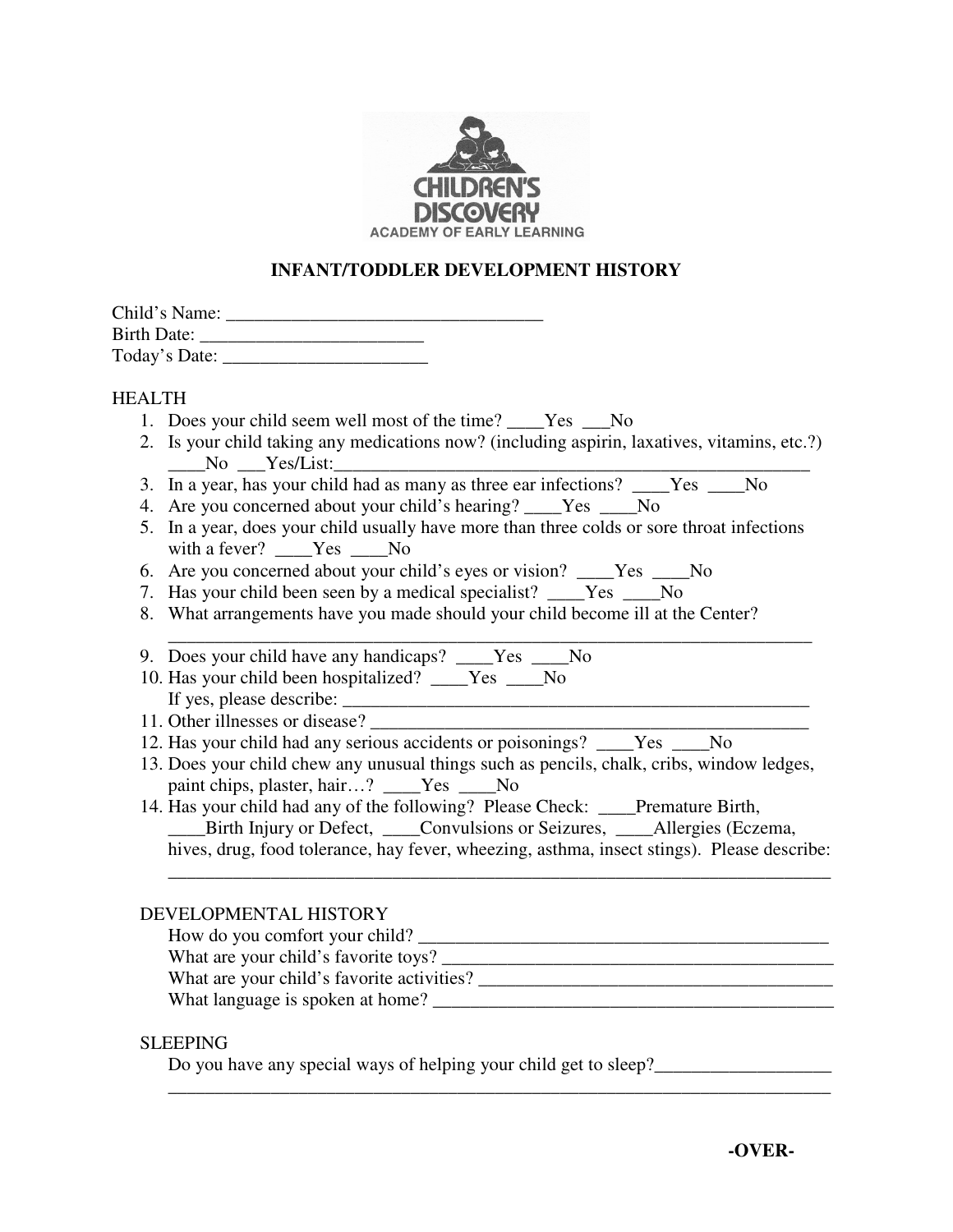

# **INFANT/TODDLER DEVELOPMENT HISTORY**

| Child's Name: |  |
|---------------|--|
| Birth Date:   |  |
| Today's Date: |  |

## HEALTH

- 1. Does your child seem well most of the time? Yes No
- 2. Is your child taking any medications now? (including aspirin, laxatives, vitamins, etc.?) No Yes/List:
- 3. In a year, has your child had as many as three ear infections? \_\_\_\_Yes \_\_\_\_No
- 4. Are you concerned about your child's hearing? \_\_\_\_Yes \_\_\_\_No
- 5. In a year, does your child usually have more than three colds or sore throat infections with a fever? \_\_\_\_Yes \_\_\_No
- 6. Are you concerned about your child's eyes or vision? \_\_\_\_Yes \_\_\_\_No
- 7. Has your child been seen by a medical specialist? \_\_\_\_Yes \_\_\_\_No
- 8. What arrangements have you made should your child become ill at the Center?
- \_\_\_\_\_\_\_\_\_\_\_\_\_\_\_\_\_\_\_\_\_\_\_\_\_\_\_\_\_\_\_\_\_\_\_\_\_\_\_\_\_\_\_\_\_\_\_\_\_\_\_\_\_\_\_\_\_\_\_\_\_\_\_\_\_\_\_\_\_ 9. Does your child have any handicaps? \_\_\_\_Yes \_\_\_\_No
- 10. Has your child been hospitalized? \_\_\_\_Yes \_\_\_\_No If yes, please describe: \_\_\_\_\_\_\_\_\_\_\_\_\_\_\_\_\_\_\_\_\_\_\_\_\_\_\_\_\_\_\_\_\_\_\_\_\_\_\_\_\_\_\_\_\_\_\_\_\_\_
- 11. Other illnesses or disease?
- 12. Has your child had any serious accidents or poisonings? \_\_\_\_Yes \_\_\_No
- 13. Does your child chew any unusual things such as pencils, chalk, cribs, window ledges, paint chips, plaster, hair…? \_\_\_\_Yes \_\_\_\_No

#### 14. Has your child had any of the following? Please Check: \_\_\_\_Premature Birth, \_\_\_\_Birth Injury or Defect, \_\_\_\_Convulsions or Seizures, \_\_\_\_Allergies (Eczema, hives, drug, food tolerance, hay fever, wheezing, asthma, insect stings). Please describe:

## DEVELOPMENTAL HISTORY

 How do you comfort your child? \_\_\_\_\_\_\_\_\_\_\_\_\_\_\_\_\_\_\_\_\_\_\_\_\_\_\_\_\_\_\_\_\_\_\_\_\_\_\_\_\_\_\_\_ What are your child's favorite toys? \_\_\_\_\_\_\_\_\_\_\_\_\_\_\_\_\_\_\_\_\_\_\_\_\_\_\_\_\_\_\_\_\_\_\_\_\_\_\_\_\_\_ What are your child's favorite activities? What language is spoken at home? \_\_\_\_\_\_\_\_\_\_\_\_\_\_\_\_\_\_\_\_\_\_\_\_\_\_\_\_\_\_\_\_\_\_\_\_\_\_\_\_\_\_\_

\_\_\_\_\_\_\_\_\_\_\_\_\_\_\_\_\_\_\_\_\_\_\_\_\_\_\_\_\_\_\_\_\_\_\_\_\_\_\_\_\_\_\_\_\_\_\_\_\_\_\_\_\_\_\_\_\_\_\_\_\_\_\_\_\_\_\_\_\_\_\_

\_\_\_\_\_\_\_\_\_\_\_\_\_\_\_\_\_\_\_\_\_\_\_\_\_\_\_\_\_\_\_\_\_\_\_\_\_\_\_\_\_\_\_\_\_\_\_\_\_\_\_\_\_\_\_\_\_\_\_\_\_\_\_\_\_\_\_\_\_\_\_

## SLEEPING

Do you have any special ways of helping your child get to sleep?